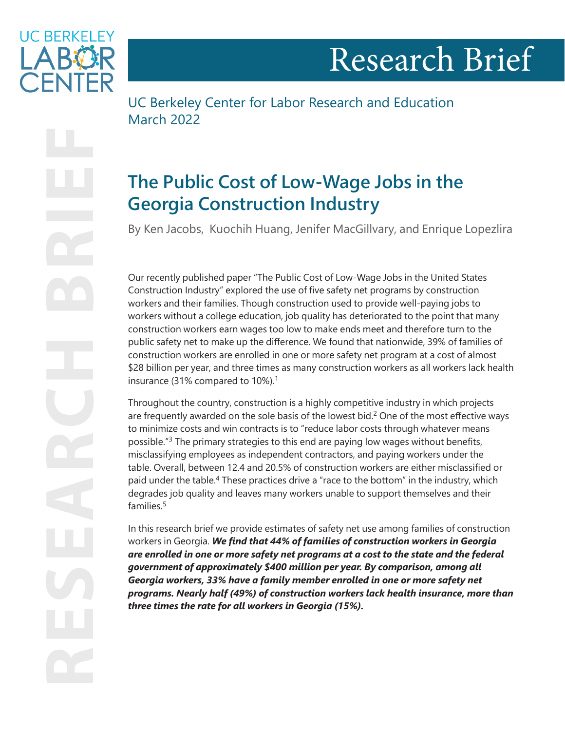

<span id="page-0-0"></span>**UC BERKELEY ARY** 

UC Berkeley Center for Labor Research and Education March 2022

# **The Public Cost of Low-Wage Jobs in the Georgia Construction Industry**

By Ken Jacobs, Kuochih Huang, Jenifer MacGillvary, and Enrique Lopezlira

Our recently published paper "The Public Cost of Low-Wage Jobs in the United States Construction Industry" explored the use of five safety net programs by construction workers and their families. Though construction used to provide well-paying jobs to workers without a college education, job quality has deteriorated to the point that many construction workers earn wages too low to make ends meet and therefore turn to the public safety net to make up the difference. We found that nationwide, 39% of families of construction workers are enrolled in one or more safety net program at a cost of almost \$28 billion per year, and three times as many construction workers as all workers lack health insurance (3[1](#page-4-0)% compared to 10%).<sup>1</sup>

Throughout the country, construction is a highly competitive industry in which projects are frequently awarded on the sole basis of the lowest bid.<sup>[2](#page-4-0)</sup> One of the most effective ways to minimize costs and win contracts is to "reduce labor costs through whatever means possible."[3](#page-4-0) The primary strategies to this end are paying low wages without benefits, misclassifying employees as independent contractors, and paying workers under the table. Overall, between 12.4 and 20.5% of construction workers are either misclassified or paid under the table.<sup>4</sup> These practices drive a "race to the bottom" in the industry, which degrades job quality and leaves many workers unable to support themselves and their families $5$ 

In this research brief we provide estimates of safety net use among families of construction workers in Georgia. *We find that 44% of families of construction workers in Georgia are enrolled in one or more safety net programs at a cost to the state and the federal government of approximately \$400 million per year. By comparison, among all Georgia workers, 33% have a family member enrolled in one or more safety net programs. Nearly half (49%) of construction workers lack health insurance, more than three times the rate for all workers in Georgia (15%).*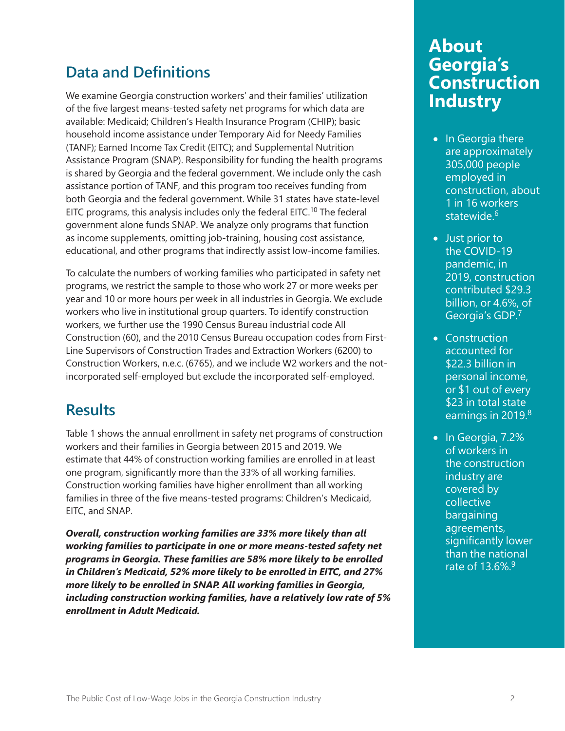### <span id="page-1-0"></span>**Data and Definitions**

We examine Georgia construction workers' and their families' utilization of the five largest means-tested safety net programs for which data are available: Medicaid; Children's Health Insurance Program (CHIP); basic household income assistance under Temporary Aid for Needy Families (TANF); Earned Income Tax Credit (EITC); and Supplemental Nutrition Assistance Program (SNAP). Responsibility for funding the health programs is shared by Georgia and the federal government. We include only the cash assistance portion of TANF, and this program too receives funding from both Georgia and the federal government. While 31 states have state-level EITC programs, this analysis includes only the federal EITC.<sup>10</sup> The federal government alone funds SNAP. We analyze only programs that function as income supplements, omitting job-training, housing cost assistance, educational, and other programs that indirectly assist low-income families.

To calculate the numbers of working families who participated in safety net programs, we restrict the sample to those who work 27 or more weeks per year and 10 or more hours per week in all industries in Georgia. We exclude workers who live in institutional group quarters. To identify construction workers, we further use the 1990 Census Bureau industrial code All Construction (60), and the 2010 Census Bureau occupation codes from First-Line Supervisors of Construction Trades and Extraction Workers (6200) to Construction Workers, n.e.c. (6765), and we include W2 workers and the notincorporated self-employed but exclude the incorporated self-employed.

#### **Results**

Table 1 shows the annual enrollment in safety net programs of construction workers and their families in Georgia between 2015 and 2019. We estimate that 44% of construction working families are enrolled in at least one program, significantly more than the 33% of all working families. Construction working families have higher enrollment than all working families in three of the five means-tested programs: Children's Medicaid, EITC, and SNAP.

*Overall, construction working families are 33% more likely than all working families to participate in one or more means-tested safety net programs in Georgia. These families are 58% more likely to be enrolled in Children's Medicaid, 52% more likely to be enrolled in EITC, and 27% more likely to be enrolled in SNAP. All working families in Georgia, including construction working families, have a relatively low rate of 5% enrollment in Adult Medicaid.*

## **About Georgia's Construction Industry**

- In Georgia there are approximately 305,000 people employed in construction, about 1 in 16 workers statewide.<sup>[6](#page-5-0)</sup>
- Just prior to the COVID-19 pandemic, in 2019, construction contributed \$29.3 billion, or 4.6%, of Georgia's GDP.[7](#page-5-0)
- Construction accounted for \$22.3 billion in personal income, or \$1 out of every \$23 in total state earnings in 2019.<sup>[8](#page-5-0)</sup>
- In Georgia, 7.2% of workers in the construction industry are covered by collective bargaining agreements, significantly lower than the national rate of 13.6%.[9](#page-5-0)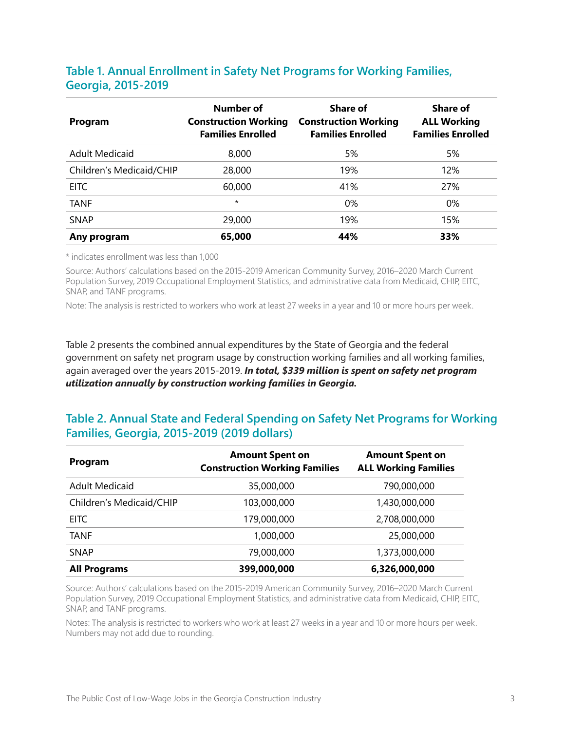#### **Table 1. Annual Enrollment in Safety Net Programs for Working Families, Georgia, 2015-2019**

| Program                  | Number of<br><b>Construction Working</b><br><b>Families Enrolled</b> | Share of<br><b>Construction Working</b><br><b>Families Enrolled</b> | Share of<br><b>ALL Working</b><br><b>Families Enrolled</b> |
|--------------------------|----------------------------------------------------------------------|---------------------------------------------------------------------|------------------------------------------------------------|
| <b>Adult Medicaid</b>    | 8,000                                                                | 5%                                                                  | 5%                                                         |
| Children's Medicaid/CHIP | 28,000                                                               | 19%                                                                 | 12%                                                        |
| <b>EITC</b>              | 60,000                                                               | 41%                                                                 | 27%                                                        |
| TANF                     | $\star$                                                              | 0%                                                                  | $0\%$                                                      |
| <b>SNAP</b>              | 29,000                                                               | 19%                                                                 | 15%                                                        |
| Any program              | 65,000                                                               | 44%                                                                 | 33%                                                        |

\* indicates enrollment was less than 1,000

Source: Authors' calculations based on the 2015-2019 American Community Survey, 2016–2020 March Current Population Survey, 2019 Occupational Employment Statistics, and administrative data from Medicaid, CHIP, EITC, SNAP, and TANF programs.

Note: The analysis is restricted to workers who work at least 27 weeks in a year and 10 or more hours per week.

Table 2 presents the combined annual expenditures by the State of Georgia and the federal government on safety net program usage by construction working families and all working families, again averaged over the years 2015-2019. *In total, \$339 million is spent on safety net program utilization annually by construction working families in Georgia.*

#### **Table 2. Annual State and Federal Spending on Safety Net Programs for Working Families, Georgia, 2015-2019 (2019 dollars)**

| Program                  | <b>Amount Spent on</b><br><b>Construction Working Families</b> | <b>Amount Spent on</b><br><b>ALL Working Families</b> |
|--------------------------|----------------------------------------------------------------|-------------------------------------------------------|
| <b>Adult Medicaid</b>    | 35,000,000                                                     | 790,000,000                                           |
| Children's Medicaid/CHIP | 103,000,000                                                    | 1,430,000,000                                         |
| <b>EITC</b>              | 179,000,000                                                    | 2,708,000,000                                         |
| <b>TANF</b>              | 1.000.000                                                      | 25,000,000                                            |
| <b>SNAP</b>              | 79,000,000                                                     | 1,373,000,000                                         |
| <b>All Programs</b>      | 399,000,000                                                    | 6,326,000,000                                         |

Source: Authors' calculations based on the 2015-2019 American Community Survey, 2016–2020 March Current Population Survey, 2019 Occupational Employment Statistics, and administrative data from Medicaid, CHIP, EITC, SNAP, and TANF programs.

Notes: The analysis is restricted to workers who work at least 27 weeks in a year and 10 or more hours per week. Numbers may not add due to rounding.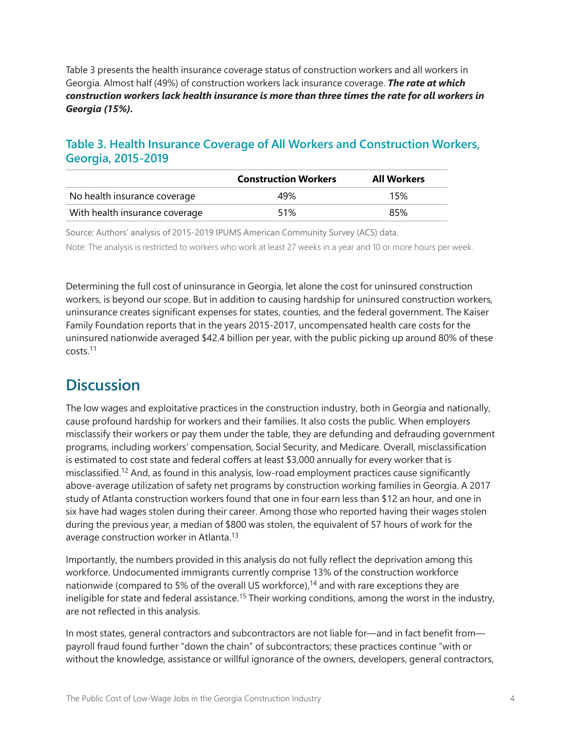<span id="page-3-0"></span>Table 3 presents the health insurance coverage status of construction workers and all workers in Georgia. Almost half (49%) of construction workers lack insurance coverage. *The rate at which construction workers lack health insurance is more than three times the rate for all workers in Georgia (15%).*

#### **Table 3. Health Insurance Coverage of All Workers and Construction Workers, Georgia, 2015-2019**

|                                | <b>Construction Workers</b> | <b>All Workers</b> |
|--------------------------------|-----------------------------|--------------------|
| No health insurance coverage   | 49%                         | 15%                |
| With health insurance coverage | 51%                         | 85%                |

Source: Authors' analysis of 2015-2019 IPUMS American Community Survey (ACS) data. Note: The analysis is restricted to workers who work at least 27 weeks in a year and 10 or more hours per week.

Determining the full cost of uninsurance in Georgia, let alone the cost for uninsured construction workers, is beyond our scope. But in addition to causing hardship for uninsured construction workers, uninsurance creates significant expenses for states, counties, and the federal government. The Kaiser Family Foundation reports that in the years 2015-2017, uncompensated health care costs for the uninsured nationwide averaged \$42.4 billion per year, with the public picking up around 80% of these costs.[11](#page-5-0)

### **Discussion**

The low wages and exploitative practices in the construction industry, both in Georgia and nationally, cause profound hardship for workers and their families. It also costs the public. When employers misclassify their workers or pay them under the table, they are defunding and defrauding government programs, including workers' compensation, Social Security, and Medicare. Overall, misclassification is estimated to cost state and federal coffers at least \$3,000 annually for every worker that is misclassified.[12](#page-5-0) And, as found in this analysis, low-road employment practices cause significantly above-average utilization of safety net programs by construction working families in Georgia. A 2017 study of Atlanta construction workers found that one in four earn less than \$12 an hour, and one in six have had wages stolen during their career. Among those who reported having their wages stolen during the previous year, a median of \$800 was stolen, the equivalent of 57 hours of work for the average construction worker in Atlanta.<sup>[13](#page-5-0)</sup>

Importantly, the numbers provided in this analysis do not fully reflect the deprivation among this workforce. Undocumented immigrants currently comprise 13% of the construction workforce nationwide (compared to 5% of the overall US workforce),<sup>[14](#page-5-0)</sup> and with rare exceptions they are ineligible for state and federal assistance.<sup>[15](#page-5-0)</sup> Their working conditions, among the worst in the industry, are not reflected in this analysis.

In most states, general contractors and subcontractors are not liable for—and in fact benefit from payroll fraud found further "down the chain" of subcontractors; these practices continue "with or without the knowledge, assistance or willful ignorance of the owners, developers, general contractors,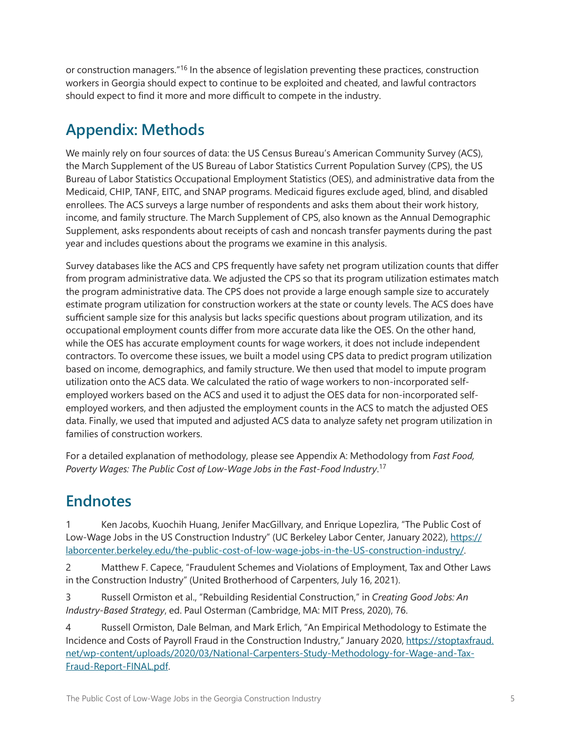<span id="page-4-0"></span>or construction managers.["16](#page-5-0) In the absence of legislation preventing these practices, construction workers in Georgia should expect to continue to be exploited and cheated, and lawful contractors should expect to find it more and more difficult to compete in the industry.

## **Appendix: Methods**

We mainly rely on four sources of data: the US Census Bureau's American Community Survey (ACS), the March Supplement of the US Bureau of Labor Statistics Current Population Survey (CPS), the US Bureau of Labor Statistics Occupational Employment Statistics (OES), and administrative data from the Medicaid, CHIP, TANF, EITC, and SNAP programs. Medicaid figures exclude aged, blind, and disabled enrollees. The ACS surveys a large number of respondents and asks them about their work history, income, and family structure. The March Supplement of CPS, also known as the Annual Demographic Supplement, asks respondents about receipts of cash and noncash transfer payments during the past year and includes questions about the programs we examine in this analysis.

Survey databases like the ACS and CPS frequently have safety net program utilization counts that differ from program administrative data. We adjusted the CPS so that its program utilization estimates match the program administrative data. The CPS does not provide a large enough sample size to accurately estimate program utilization for construction workers at the state or county levels. The ACS does have sufficient sample size for this analysis but lacks specific questions about program utilization, and its occupational employment counts differ from more accurate data like the OES. On the other hand, while the OES has accurate employment counts for wage workers, it does not include independent contractors. To overcome these issues, we built a model using CPS data to predict program utilization based on income, demographics, and family structure. We then used that model to impute program utilization onto the ACS data. We calculated the ratio of wage workers to non-incorporated selfemployed workers based on the ACS and used it to adjust the OES data for non-incorporated selfemployed workers, and then adjusted the employment counts in the ACS to match the adjusted OES data. Finally, we used that imputed and adjusted ACS data to analyze safety net program utilization in families of construction workers.

For a detailed explanation of methodology, please see Appendix A: Methodology from *Fast Food, Poverty Wages: The Public Cost of Low-Wage Jobs in the Fast-Food Industry*. [17](#page-5-0)

### **Endnotes**

Ken Jacobs, Kuochih Huang, Jenifer MacGillvary, and Enrique Lopezlira, "The Public Cost of Low-Wage Jobs in the US Construction Industry" (UC Berkeley Labor Center, January 2022), [https://](https://laborcenter.berkeley.edu/the-public-cost-of-low-wage-jobs-in-the-US-construction-industry/) [laborcenter.berkeley.edu/the-public-cost-of-low-wage-jobs-in-the-US-construction-industry/.](https://laborcenter.berkeley.edu/the-public-cost-of-low-wage-jobs-in-the-US-construction-industry/)

[2](#page-0-0) Matthew F. Capece, "Fraudulent Schemes and Violations of Employment, Tax and Other Laws in the Construction Industry" (United Brotherhood of Carpenters, July 16, 2021).

[3](#page-0-0) Russell Ormiston et al., "Rebuilding Residential Construction," in *Creating Good Jobs: An Industry-Based Strategy*, ed. Paul Osterman (Cambridge, MA: MIT Press, 2020), 76.

[4](#page-0-0) Russell Ormiston, Dale Belman, and Mark Erlich, "An Empirical Methodology to Estimate the Incidence and Costs of Payroll Fraud in the Construction Industry," January 2020, [https://stoptaxfraud.](https://stoptaxfraud.net/wp-content/uploads/2020/03/National-Carpenters-Study-Methodology-for-Wage-and-Tax-Fraud-Report-FINAL.pdf) [net/wp-content/uploads/2020/03/National-Carpenters-Study-Methodology-for-Wage-and-Tax-](https://stoptaxfraud.net/wp-content/uploads/2020/03/National-Carpenters-Study-Methodology-for-Wage-and-Tax-Fraud-Report-FINAL.pdf)[Fraud-Report-FINAL.pdf](https://stoptaxfraud.net/wp-content/uploads/2020/03/National-Carpenters-Study-Methodology-for-Wage-and-Tax-Fraud-Report-FINAL.pdf).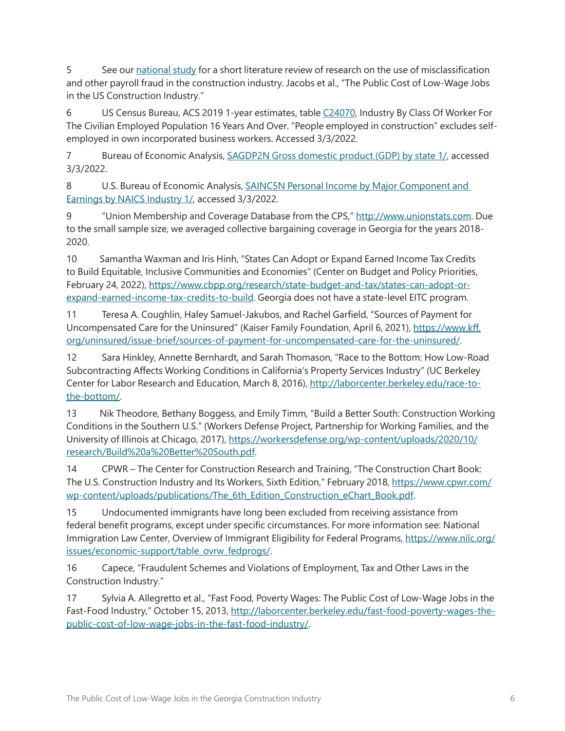<span id="page-5-0"></span>[5](#page-0-0) See our [national study](https://laborcenter.berkeley.edu/the-public-cost-of-low-wage-jobs-in-the-US-construction-industry/) for a short literature review of research on the use of misclassification and other payroll fraud in the construction industry. Jacobs et al., "The Public Cost of Low-Wage Jobs in the US Construction Industry."

[6](#page-1-0) US Census Bureau, ACS 2019 1-year estimates, table [C24070](https://data.census.gov/cedsci/table?q=INDUSTRY%20BY%20CLASS%20OF%20WORKER%20FOR%20THE%20CIVILIAN%20EMPLOYED%20POPULATION%2016%20YEARS%20AND%20OVER&g=0400000US13&tid=ACSDT1Y2019.C24070), Industry By Class Of Worker For The Civilian Employed Population 16 Years And Over. "People employed in construction" excludes selfemployed in own incorporated business workers. Accessed 3/3/2022.

[7](#page-1-0) Bureau of Economic Analysis, [SAGDP2N Gross domestic product \(GDP\) by state 1/](https://apps.bea.gov/iTable/iTable.cfm?reqid=70&step=30&isuri=1&year_end=-1&acrdn=1&classification=naics&state=0&yearbegin=-1&unit_of_measure=levels&major_area=0&area=01000,02000,04000,05000,06000,08000,09000,10000,11000,12000,13000,15000,16000,17000,18000,19000,20000,21000,22000,23000,24000,25000,26000,27000,28000,29000,30000,31000,32000,33000,34000,35000,36000,37000,38000,39000,40000,41000,42000,44000,45000,46000,47000,48000,49000,50000,51000,53000,54000,55000,56000&year=2019&tableid=505&category=1505&area_type=0&statistic=1,11), accessed 3/3/2022.

[8](#page-1-0) U.S. Bureau of Economic Analysis, **SAINC5N Personal Income by Major Component and** [Earnings by NAICS Industry 1/](https://apps.bea.gov/iTable/iTable.cfm?reqid=70&step=30&isuri=1&major_area=0&area=01000,02000,04000,05000,06000,08000,09000,10000,11000,12000,13000,15000,16000,17000,18000,19000,20000,21000,22000,23000,24000,25000,26000,27000,28000,29000,30000,31000,32000,33000,34000,35000,36000,37000,38000,39000,40000,41000,42000,44000,45000,46000,47000,48000,49000,50000,51000,53000,54000,55000,56000&year=2019&tableid=28&category=428&area_type=0&year_end=-1&classification=naics&state=0&statistic=10,400&yearbegin=-1&unit_of_measure=levels), accessed 3/3/2022.

[9](#page-1-0) "Union Membership and Coverage Database from the CPS," [http://www.unionstats.com.](http://www.unionstats.com) Due to the small sample size, we averaged collective bargaining coverage in Georgia for the years 2018- 2020.

[10](#page-1-0) Samantha Waxman and Iris Hinh, "States Can Adopt or Expand Earned Income Tax Credits to Build Equitable, Inclusive Communities and Economies" (Center on Budget and Policy Priorities, February 24, 2022), [https://www.cbpp.org/research/state-budget-and-tax/states-can-adopt-or](https://www.cbpp.org/research/state-budget-and-tax/states-can-adopt-or-expand-earned-income-tax-credits-to-build)[expand-earned-income-tax-credits-to-build.](https://www.cbpp.org/research/state-budget-and-tax/states-can-adopt-or-expand-earned-income-tax-credits-to-build) Georgia does not have a state-level EITC program.

[11](#page-3-0) Teresa A. Coughlin, Haley Samuel-Jakubos, and Rachel Garfield, "Sources of Payment for Uncompensated Care for the Uninsured" (Kaiser Family Foundation, April 6, 2021), [https://www.kff.](https://www.kff.org/uninsured/issue-brief/sources-of-payment-for-uncompensated-care-for-the-uninsured/) [org/uninsured/issue-brief/sources-of-payment-for-uncompensated-care-for-the-uninsured/](https://www.kff.org/uninsured/issue-brief/sources-of-payment-for-uncompensated-care-for-the-uninsured/).

[12](#page-3-0) Sara Hinkley, Annette Bernhardt, and Sarah Thomason, "Race to the Bottom: How Low‐Road Subcontracting Affects Working Conditions in California's Property Services Industry" (UC Berkeley Center for Labor Research and Education, March 8, 2016), [http://laborcenter.berkeley.edu/race-to](http://laborcenter.berkeley.edu/race-to-the-bottom/)[the-bottom/.](http://laborcenter.berkeley.edu/race-to-the-bottom/)

[13](#page-3-0) Nik Theodore, Bethany Boggess, and Emily Timm, "Build a Better South: Construction Working Conditions in the Southern U.S." (Workers Defense Project, Partnership for Working Families, and the University of Illinois at Chicago, 2017), [https://workersdefense.org/wp-content/uploads/2020/10/](https://workersdefense.org/wp-content/uploads/2020/10/research/Build%20a%20Better%20South.pdf) [research/Build%20a%20Better%20South.pdf](https://workersdefense.org/wp-content/uploads/2020/10/research/Build%20a%20Better%20South.pdf).

[14](#page-3-0) CPWR – The Center for Construction Research and Training, "The Construction Chart Book: The U.S. Construction Industry and Its Workers, Sixth Edition," February 2018, [https://www.cpwr.com/](https://www.cpwr.com/wp-content/uploads/publications/The_6th_Edition_Construction_eChart_Book.pdf) [wp-content/uploads/publications/The\\_6th\\_Edition\\_Construction\\_eChart\\_Book.pdf](https://www.cpwr.com/wp-content/uploads/publications/The_6th_Edition_Construction_eChart_Book.pdf).

[15](#page-3-0) Undocumented immigrants have long been excluded from receiving assistance from federal benefit programs, except under specific circumstances. For more information see: National Immigration Law Center, Overview of Immigrant Eligibility for Federal Programs, [https://www.nilc.org/](https://www.nilc.org/issues/economic-support/table_ovrw_fedprogs/) [issues/economic-support/table\\_ovrw\\_fedprogs/.](https://www.nilc.org/issues/economic-support/table_ovrw_fedprogs/)

[16](#page-4-0) Capece, "Fraudulent Schemes and Violations of Employment, Tax and Other Laws in the Construction Industry."

[17](#page-4-0) Sylvia A. Allegretto et al., "Fast Food, Poverty Wages: The Public Cost of Low-Wage Jobs in the Fast-Food Industry," October 15, 2013, [http://laborcenter.berkeley.edu/fast-food-poverty-wages-the](http://laborcenter.berkeley.edu/fast-food-poverty-wages-the-public-cost-of-low-wage-jobs-in-the-fast-food-industry/)[public-cost-of-low-wage-jobs-in-the-fast-food-industry/](http://laborcenter.berkeley.edu/fast-food-poverty-wages-the-public-cost-of-low-wage-jobs-in-the-fast-food-industry/).